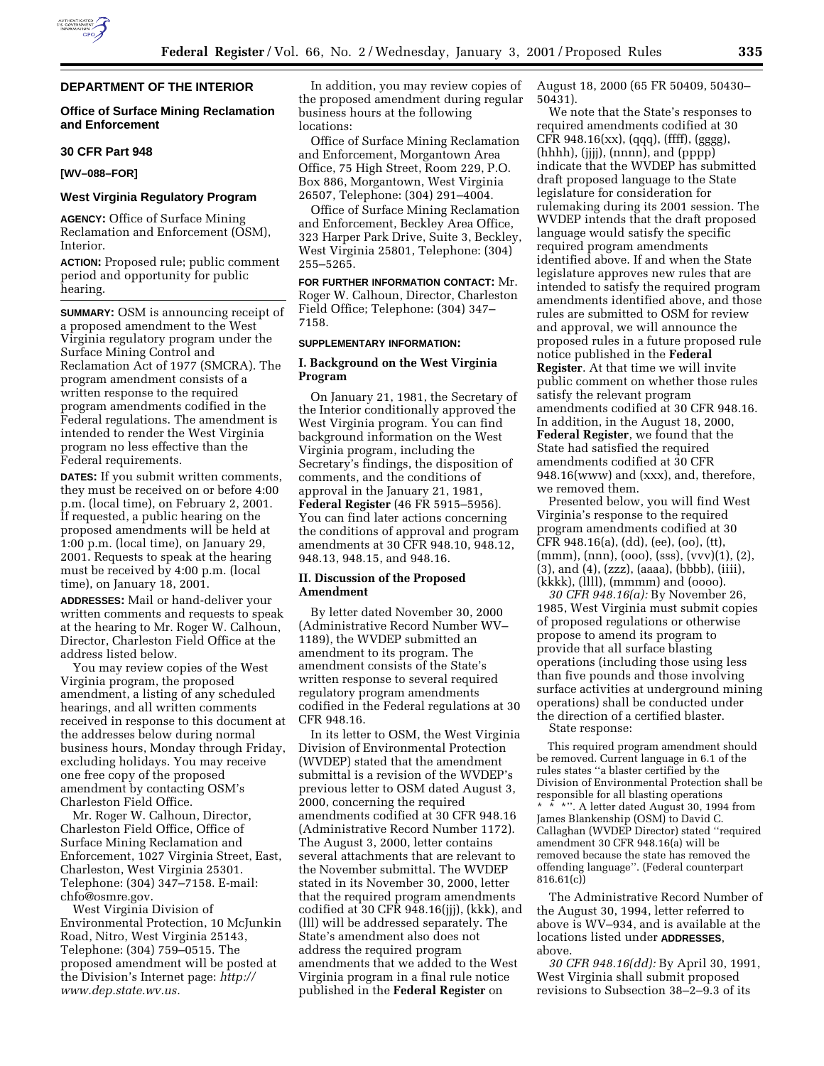

## **DEPARTMENT OF THE INTERIOR**

## **Office of Surface Mining Reclamation and Enforcement**

#### **30 CFR Part 948**

**[WV–088–FOR]**

# **West Virginia Regulatory Program**

**AGENCY:** Office of Surface Mining Reclamation and Enforcement (OSM), Interior.

**ACTION:** Proposed rule; public comment period and opportunity for public hearing.

**SUMMARY:** OSM is announcing receipt of a proposed amendment to the West Virginia regulatory program under the Surface Mining Control and Reclamation Act of 1977 (SMCRA). The program amendment consists of a written response to the required program amendments codified in the Federal regulations. The amendment is intended to render the West Virginia program no less effective than the Federal requirements.

**DATES:** If you submit written comments, they must be received on or before 4:00 p.m. (local time), on February 2, 2001. If requested, a public hearing on the proposed amendments will be held at 1:00 p.m. (local time), on January 29, 2001. Requests to speak at the hearing must be received by 4:00 p.m. (local time), on January 18, 2001.

**ADDRESSES:** Mail or hand-deliver your written comments and requests to speak at the hearing to Mr. Roger W. Calhoun, Director, Charleston Field Office at the address listed below.

You may review copies of the West Virginia program, the proposed amendment, a listing of any scheduled hearings, and all written comments received in response to this document at the addresses below during normal business hours, Monday through Friday, excluding holidays. You may receive one free copy of the proposed amendment by contacting OSM's Charleston Field Office.

Mr. Roger W. Calhoun, Director, Charleston Field Office, Office of Surface Mining Reclamation and Enforcement, 1027 Virginia Street, East, Charleston, West Virginia 25301. Telephone: (304) 347–7158. E-mail: chfo@osmre.gov.

West Virginia Division of Environmental Protection, 10 McJunkin Road, Nitro, West Virginia 25143, Telephone: (304) 759–0515. The proposed amendment will be posted at the Division's Internet page: *http:// www.dep.state.wv.us.*

In addition, you may review copies of the proposed amendment during regular business hours at the following locations:

Office of Surface Mining Reclamation and Enforcement, Morgantown Area Office, 75 High Street, Room 229, P.O. Box 886, Morgantown, West Virginia 26507, Telephone: (304) 291–4004.

Office of Surface Mining Reclamation and Enforcement, Beckley Area Office, 323 Harper Park Drive, Suite 3, Beckley, West Virginia 25801, Telephone: (304) 255–5265.

**FOR FURTHER INFORMATION CONTACT:** Mr. Roger W. Calhoun, Director, Charleston Field Office; Telephone: (304) 347– 7158.

### **SUPPLEMENTARY INFORMATION:**

# **I. Background on the West Virginia Program**

On January 21, 1981, the Secretary of the Interior conditionally approved the West Virginia program. You can find background information on the West Virginia program, including the Secretary's findings, the disposition of comments, and the conditions of approval in the January 21, 1981, **Federal Register** (46 FR 5915–5956). You can find later actions concerning the conditions of approval and program amendments at 30 CFR 948.10, 948.12, 948.13, 948.15, and 948.16.

## **II. Discussion of the Proposed Amendment**

By letter dated November 30, 2000 (Administrative Record Number WV– 1189), the WVDEP submitted an amendment to its program. The amendment consists of the State's written response to several required regulatory program amendments codified in the Federal regulations at 30 CFR 948.16.

In its letter to OSM, the West Virginia Division of Environmental Protection (WVDEP) stated that the amendment submittal is a revision of the WVDEP's previous letter to OSM dated August 3, 2000, concerning the required amendments codified at 30 CFR 948.16 (Administrative Record Number 1172). The August 3, 2000, letter contains several attachments that are relevant to the November submittal. The WVDEP stated in its November 30, 2000, letter that the required program amendments codified at 30 CFR 948.16(jjj), (kkk), and (lll) will be addressed separately. The State's amendment also does not address the required program amendments that we added to the West Virginia program in a final rule notice published in the **Federal Register** on

August 18, 2000 (65 FR 50409, 50430– 50431).

We note that the State's responses to required amendments codified at 30 CFR 948.16(xx), (qqq), (ffff), (gggg), (hhhh), (jjjj), (nnnn), and (pppp) indicate that the WVDEP has submitted draft proposed language to the State legislature for consideration for rulemaking during its 2001 session. The WVDEP intends that the draft proposed language would satisfy the specific required program amendments identified above. If and when the State legislature approves new rules that are intended to satisfy the required program amendments identified above, and those rules are submitted to OSM for review and approval, we will announce the proposed rules in a future proposed rule notice published in the **Federal Register**. At that time we will invite public comment on whether those rules satisfy the relevant program amendments codified at 30 CFR 948.16. In addition, in the August 18, 2000, **Federal Register**, we found that the State had satisfied the required amendments codified at 30 CFR 948.16(www) and (xxx), and, therefore, we removed them.

Presented below, you will find West Virginia's response to the required program amendments codified at 30 CFR 948.16(a), (dd), (ee), (oo), (tt), (mmm), (nnn), (ooo), (sss), (vvv)(1), (2), (3), and (4), (zzz), (aaaa), (bbbb), (iiii), (kkkk), (llll), (mmmm) and (oooo).

*30 CFR 948.16(a):* By November 26, 1985, West Virginia must submit copies of proposed regulations or otherwise propose to amend its program to provide that all surface blasting operations (including those using less than five pounds and those involving surface activities at underground mining operations) shall be conducted under the direction of a certified blaster.

State response:

This required program amendment should be removed. Current language in 6.1 of the rules states ''a blaster certified by the Division of Environmental Protection shall be responsible for all blasting operations  $*$  \*". A letter dated August 30, 1994 from James Blankenship (OSM) to David C. Callaghan (WVDEP Director) stated ''required amendment 30 CFR 948.16(a) will be removed because the state has removed the offending language''. (Federal counterpart 816.61(c))

The Administrative Record Number of the August 30, 1994, letter referred to above is WV–934, and is available at the locations listed under **ADDRESSES**, above.

*30 CFR 948.16(dd):* By April 30, 1991, West Virginia shall submit proposed revisions to Subsection 38–2–9.3 of its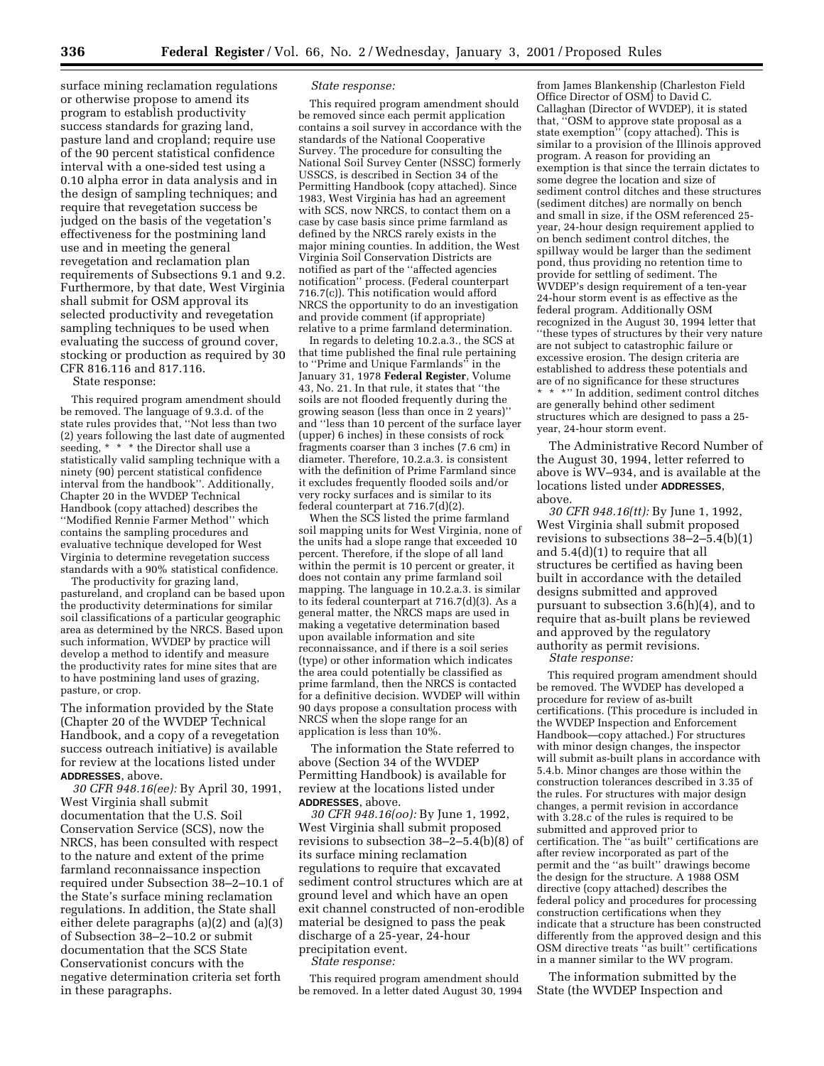surface mining reclamation regulations or otherwise propose to amend its program to establish productivity success standards for grazing land, pasture land and cropland; require use of the 90 percent statistical confidence interval with a one-sided test using a 0.10 alpha error in data analysis and in the design of sampling techniques; and require that revegetation success be judged on the basis of the vegetation's effectiveness for the postmining land use and in meeting the general revegetation and reclamation plan requirements of Subsections 9.1 and 9.2. Furthermore, by that date, West Virginia shall submit for OSM approval its selected productivity and revegetation sampling techniques to be used when evaluating the success of ground cover, stocking or production as required by 30 CFR 816.116 and 817.116.

State response:

This required program amendment should be removed. The language of 9.3.d. of the state rules provides that, ''Not less than two (2) years following the last date of augmented seeding, \* \* \* the Director shall use a statistically valid sampling technique with a ninety (90) percent statistical confidence interval from the handbook''. Additionally, Chapter 20 in the WVDEP Technical Handbook (copy attached) describes the ''Modified Rennie Farmer Method'' which contains the sampling procedures and evaluative technique developed for West Virginia to determine revegetation success standards with a 90% statistical confidence.

The productivity for grazing land, pastureland, and cropland can be based upon the productivity determinations for similar soil classifications of a particular geographic area as determined by the NRCS. Based upon such information, WVDEP by practice will develop a method to identify and measure the productivity rates for mine sites that are to have postmining land uses of grazing, pasture, or crop.

The information provided by the State (Chapter 20 of the WVDEP Technical Handbook, and a copy of a revegetation success outreach initiative) is available for review at the locations listed under **ADDRESSES**, above.

*30 CFR 948.16(ee):* By April 30, 1991, West Virginia shall submit documentation that the U.S. Soil Conservation Service (SCS), now the NRCS, has been consulted with respect to the nature and extent of the prime farmland reconnaissance inspection required under Subsection 38–2–10.1 of the State's surface mining reclamation regulations. In addition, the State shall either delete paragraphs (a)(2) and (a)(3) of Subsection 38–2–10.2 or submit documentation that the SCS State Conservationist concurs with the negative determination criteria set forth in these paragraphs.

### *State response:*

This required program amendment should be removed since each permit application contains a soil survey in accordance with the standards of the National Cooperative Survey. The procedure for consulting the National Soil Survey Center (NSSC) formerly USSCS, is described in Section 34 of the Permitting Handbook (copy attached). Since 1983, West Virginia has had an agreement with SCS, now NRCS, to contact them on a case by case basis since prime farmland as defined by the NRCS rarely exists in the major mining counties. In addition, the West Virginia Soil Conservation Districts are notified as part of the ''affected agencies notification'' process. (Federal counterpart 716.7(c)). This notification would afford NRCS the opportunity to do an investigation and provide comment (if appropriate) relative to a prime farmland determination.

In regards to deleting 10.2.a.3., the SCS at that time published the final rule pertaining to ''Prime and Unique Farmlands'' in the January 31, 1978 **Federal Register**, Volume 43, No. 21. In that rule, it states that ''the soils are not flooded frequently during the growing season (less than once in 2 years)'' and ''less than 10 percent of the surface layer (upper) 6 inches) in these consists of rock fragments coarser than 3 inches (7.6 cm) in diameter. Therefore, 10.2.a.3. is consistent with the definition of Prime Farmland since it excludes frequently flooded soils and/or very rocky surfaces and is similar to its federal counterpart at 716.7(d)(2).

When the SCS listed the prime farmland soil mapping units for West Virginia, none of the units had a slope range that exceeded 10 percent. Therefore, if the slope of all land within the permit is 10 percent or greater, it does not contain any prime farmland soil mapping. The language in 10.2.a.3. is similar to its federal counterpart at 716.7(d)(3). As a general matter, the NRCS maps are used in making a vegetative determination based upon available information and site reconnaissance, and if there is a soil series (type) or other information which indicates the area could potentially be classified as prime farmland, then the NRCS is contacted for a definitive decision. WVDEP will within 90 days propose a consultation process with NRCS when the slope range for an application is less than 10%.

The information the State referred to above (Section 34 of the WVDEP Permitting Handbook) is available for review at the locations listed under **ADDRESSES**, above.

*30 CFR 948.16(oo):* By June 1, 1992, West Virginia shall submit proposed revisions to subsection 38–2–5.4(b)(8) of its surface mining reclamation regulations to require that excavated sediment control structures which are at ground level and which have an open exit channel constructed of non-erodible material be designed to pass the peak discharge of a 25-year, 24-hour precipitation event.

*State response:*

This required program amendment should be removed. In a letter dated August 30, 1994

from James Blankenship (Charleston Field Office Director of OSM) to David C. Callaghan (Director of WVDEP), it is stated that, ''OSM to approve state proposal as a state exemption'' (copy attached). This is similar to a provision of the Illinois approved program. A reason for providing an exemption is that since the terrain dictates to some degree the location and size of sediment control ditches and these structures (sediment ditches) are normally on bench and small in size, if the OSM referenced 25 year, 24-hour design requirement applied to on bench sediment control ditches, the spillway would be larger than the sediment pond, thus providing no retention time to provide for settling of sediment. The WVDEP's design requirement of a ten-year 24-hour storm event is as effective as the federal program. Additionally OSM recognized in the August 30, 1994 letter that ''these types of structures by their very nature are not subject to catastrophic failure or excessive erosion. The design criteria are established to address these potentials and are of no significance for these structures \* \* \*'' In addition, sediment control ditches are generally behind other sediment structures which are designed to pass a 25 year, 24-hour storm event.

The Administrative Record Number of the August 30, 1994, letter referred to above is WV–934, and is available at the locations listed under **ADDRESSES**, above.

*30 CFR 948.16(tt):* By June 1, 1992, West Virginia shall submit proposed revisions to subsections 38–2–5.4(b)(1) and 5.4(d)(1) to require that all structures be certified as having been built in accordance with the detailed designs submitted and approved pursuant to subsection 3.6(h)(4), and to require that as-built plans be reviewed and approved by the regulatory authority as permit revisions.

*State response:*

This required program amendment should be removed. The WVDEP has developed a procedure for review of as-built certifications. (This procedure is included in the WVDEP Inspection and Enforcement Handbook—copy attached.) For structures with minor design changes, the inspector will submit as-built plans in accordance with 5.4.b. Minor changes are those within the construction tolerances described in 3.35 of the rules. For structures with major design changes, a permit revision in accordance with 3.28.c of the rules is required to be submitted and approved prior to certification. The ''as built'' certifications are after review incorporated as part of the permit and the ''as built'' drawings become the design for the structure. A 1988 OSM directive (copy attached) describes the federal policy and procedures for processing construction certifications when they indicate that a structure has been constructed differently from the approved design and this OSM directive treats ''as built'' certifications in a manner similar to the WV program.

The information submitted by the State (the WVDEP Inspection and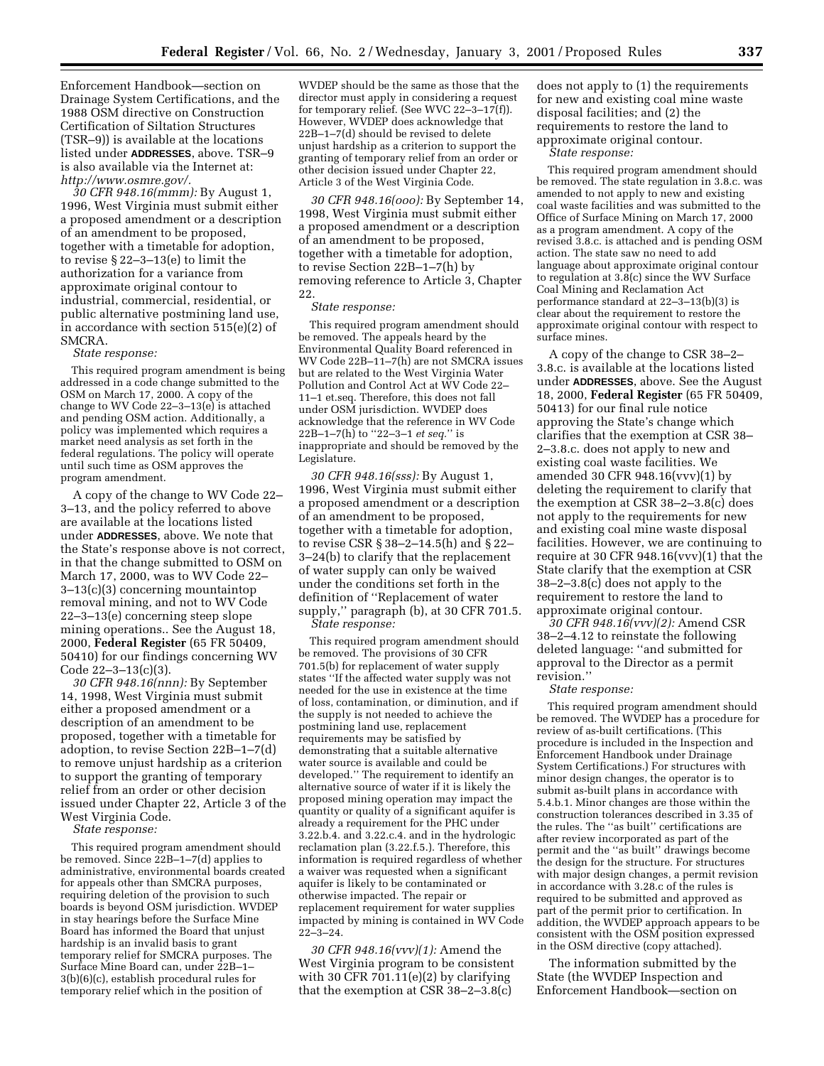Enforcement Handbook—section on Drainage System Certifications, and the 1988 OSM directive on Construction Certification of Siltation Structures (TSR–9)) is available at the locations listed under **ADDRESSES**, above. TSR–9 is also available via the Internet at: *http://www.osmre.gov/.*

*30 CFR 948.16(mmm):* By August 1, 1996, West Virginia must submit either a proposed amendment or a description of an amendment to be proposed, together with a timetable for adoption, to revise § 22–3–13(e) to limit the authorization for a variance from approximate original contour to industrial, commercial, residential, or public alternative postmining land use, in accordance with section 515(e)(2) of SMCRA.

### *State response:*

This required program amendment is being addressed in a code change submitted to the OSM on March 17, 2000. A copy of the change to WV Code 22–3–13(e) is attached and pending OSM action. Additionally, a policy was implemented which requires a market need analysis as set forth in the federal regulations. The policy will operate until such time as OSM approves the program amendment.

A copy of the change to WV Code 22– 3–13, and the policy referred to above are available at the locations listed under **ADDRESSES**, above. We note that the State's response above is not correct, in that the change submitted to OSM on March 17, 2000, was to WV Code 22– 3–13(c)(3) concerning mountaintop removal mining, and not to WV Code 22–3–13(e) concerning steep slope mining operations.. See the August 18, 2000, **Federal Register** (65 FR 50409, 50410) for our findings concerning WV Code 22–3–13(c)(3).

*30 CFR 948.16(nnn):* By September 14, 1998, West Virginia must submit either a proposed amendment or a description of an amendment to be proposed, together with a timetable for adoption, to revise Section 22B–1–7(d) to remove unjust hardship as a criterion to support the granting of temporary relief from an order or other decision issued under Chapter 22, Article 3 of the West Virginia Code.

*State response:*

This required program amendment should be removed. Since 22B–1–7(d) applies to administrative, environmental boards created for appeals other than SMCRA purposes, requiring deletion of the provision to such boards is beyond OSM jurisdiction. WVDEP in stay hearings before the Surface Mine Board has informed the Board that unjust hardship is an invalid basis to grant temporary relief for SMCRA purposes. The Surface Mine Board can, under 22B–1– 3(b)(6)(c), establish procedural rules for temporary relief which in the position of

WVDEP should be the same as those that the director must apply in considering a request for temporary relief. (See WVC 22–3–17(f)). However, WVDEP does acknowledge that 22B–1–7(d) should be revised to delete unjust hardship as a criterion to support the granting of temporary relief from an order or other decision issued under Chapter 22, Article 3 of the West Virginia Code.

*30 CFR 948.16(ooo):* By September 14, 1998, West Virginia must submit either a proposed amendment or a description of an amendment to be proposed, together with a timetable for adoption, to revise Section 22B–1–7(h) by removing reference to Article 3, Chapter 22.

# *State response:*

This required program amendment should be removed. The appeals heard by the Environmental Quality Board referenced in WV Code 22B–11–7(h) are not SMCRA issues but are related to the West Virginia Water Pollution and Control Act at WV Code 22– 11–1 et.seq. Therefore, this does not fall under OSM jurisdiction. WVDEP does acknowledge that the reference in WV Code 22B–1–7(h) to ''22–3–1 *et seq.*'' is inappropriate and should be removed by the Legislature.

*30 CFR 948.16(sss):* By August 1, 1996, West Virginia must submit either a proposed amendment or a description of an amendment to be proposed, together with a timetable for adoption, to revise CSR § 38–2–14.5(h) and § 22– 3–24(b) to clarify that the replacement of water supply can only be waived under the conditions set forth in the definition of ''Replacement of water supply,'' paragraph (b), at 30 CFR 701.5. *State response:*

This required program amendment should be removed. The provisions of 30 CFR 701.5(b) for replacement of water supply states ''If the affected water supply was not needed for the use in existence at the time of loss, contamination, or diminution, and if the supply is not needed to achieve the postmining land use, replacement requirements may be satisfied by demonstrating that a suitable alternative water source is available and could be developed.'' The requirement to identify an alternative source of water if it is likely the proposed mining operation may impact the quantity or quality of a significant aquifer is already a requirement for the PHC under 3.22.b.4. and 3.22.c.4. and in the hydrologic reclamation plan (3.22.f.5.). Therefore, this information is required regardless of whether a waiver was requested when a significant aquifer is likely to be contaminated or otherwise impacted. The repair or replacement requirement for water supplies impacted by mining is contained in WV Code 22–3–24.

*30 CFR 948.16(vvv)(1):* Amend the West Virginia program to be consistent with 30 CFR 701.11 $(e)(2)$  by clarifying that the exemption at CSR 38–2–3.8(c)

does not apply to (1) the requirements for new and existing coal mine waste disposal facilities; and (2) the requirements to restore the land to approximate original contour.

*State response:*

This required program amendment should be removed. The state regulation in 3.8.c. was amended to not apply to new and existing coal waste facilities and was submitted to the Office of Surface Mining on March 17, 2000 as a program amendment. A copy of the revised 3.8.c. is attached and is pending OSM action. The state saw no need to add language about approximate original contour to regulation at 3.8(c) since the WV Surface Coal Mining and Reclamation Act performance standard at 22–3–13(b)(3) is clear about the requirement to restore the approximate original contour with respect to surface mines.

A copy of the change to CSR 38–2– 3.8.c. is available at the locations listed under **ADDRESSES**, above. See the August 18, 2000, **Federal Register** (65 FR 50409, 50413) for our final rule notice approving the State's change which clarifies that the exemption at CSR 38– 2–3.8.c. does not apply to new and existing coal waste facilities. We amended 30 CFR 948.16(vvv)(1) by deleting the requirement to clarify that the exemption at CSR 38–2–3.8(c) does not apply to the requirements for new and existing coal mine waste disposal facilities. However, we are continuing to require at 30 CFR 948.16(vvv)(1) that the State clarify that the exemption at CSR 38–2–3.8(c) does not apply to the requirement to restore the land to approximate original contour.

*30 CFR 948.16(vvv)(2):* Amend CSR 38–2–4.12 to reinstate the following deleted language: ''and submitted for approval to the Director as a permit revision.''

*State response:*

This required program amendment should be removed. The WVDEP has a procedure for review of as-built certifications. (This procedure is included in the Inspection and Enforcement Handbook under Drainage System Certifications.) For structures with minor design changes, the operator is to submit as-built plans in accordance with 5.4.b.1. Minor changes are those within the construction tolerances described in 3.35 of the rules. The ''as built'' certifications are after review incorporated as part of the permit and the ''as built'' drawings become the design for the structure. For structures with major design changes, a permit revision in accordance with 3.28.c of the rules is required to be submitted and approved as part of the permit prior to certification. In addition, the WVDEP approach appears to be consistent with the OSM position expressed in the OSM directive (copy attached).

The information submitted by the State (the WVDEP Inspection and Enforcement Handbook—section on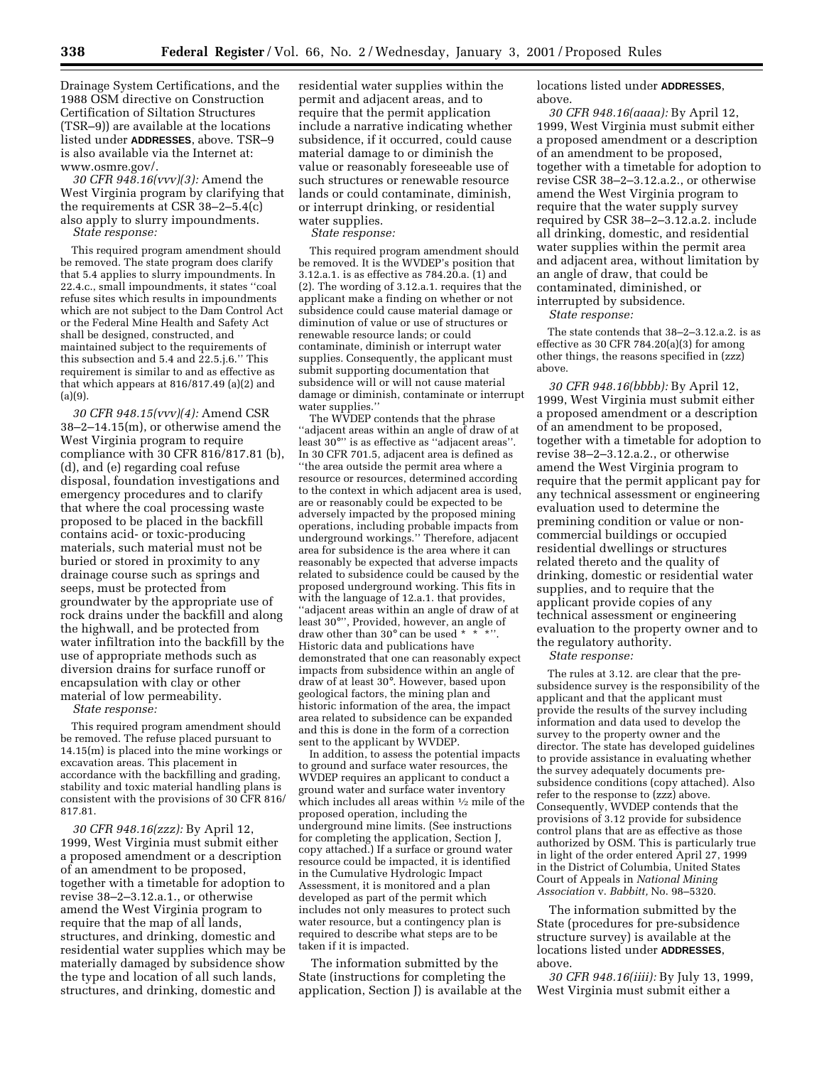Drainage System Certifications, and the 1988 OSM directive on Construction Certification of Siltation Structures (TSR–9)) are available at the locations listed under **ADDRESSES**, above. TSR–9 is also available via the Internet at: www.osmre.gov/.

*30 CFR 948.16(vvv)(3):* Amend the West Virginia program by clarifying that the requirements at CSR 38–2–5.4(c) also apply to slurry impoundments. *State response:*

This required program amendment should be removed. The state program does clarify that 5.4 applies to slurry impoundments. In 22.4.c., small impoundments, it states ''coal refuse sites which results in impoundments which are not subject to the Dam Control Act or the Federal Mine Health and Safety Act shall be designed, constructed, and maintained subject to the requirements of this subsection and 5.4 and  $22.5$ .j.6." This requirement is similar to and as effective as that which appears at 816/817.49 (a)(2) and  $(a)(9)$ .

*30 CFR 948.15(vvv)(4):* Amend CSR 38–2–14.15(m), or otherwise amend the West Virginia program to require compliance with 30 CFR 816/817.81 (b), (d), and (e) regarding coal refuse disposal, foundation investigations and emergency procedures and to clarify that where the coal processing waste proposed to be placed in the backfill contains acid- or toxic-producing materials, such material must not be buried or stored in proximity to any drainage course such as springs and seeps, must be protected from groundwater by the appropriate use of rock drains under the backfill and along the highwall, and be protected from water infiltration into the backfill by the use of appropriate methods such as diversion drains for surface runoff or encapsulation with clay or other material of low permeability.

*State response:*

This required program amendment should be removed. The refuse placed pursuant to 14.15(m) is placed into the mine workings or excavation areas. This placement in accordance with the backfilling and grading, stability and toxic material handling plans is consistent with the provisions of 30 CFR 816/ 817.81.

*30 CFR 948.16(zzz):* By April 12, 1999, West Virginia must submit either a proposed amendment or a description of an amendment to be proposed, together with a timetable for adoption to revise 38–2–3.12.a.1., or otherwise amend the West Virginia program to require that the map of all lands, structures, and drinking, domestic and residential water supplies which may be materially damaged by subsidence show the type and location of all such lands, structures, and drinking, domestic and

residential water supplies within the permit and adjacent areas, and to require that the permit application include a narrative indicating whether subsidence, if it occurred, could cause material damage to or diminish the value or reasonably foreseeable use of such structures or renewable resource lands or could contaminate, diminish, or interrupt drinking, or residential water supplies.

*State response:*

This required program amendment should be removed. It is the WVDEP's position that 3.12.a.1. is as effective as 784.20.a. (1) and (2). The wording of 3.12.a.1. requires that the applicant make a finding on whether or not subsidence could cause material damage or diminution of value or use of structures or renewable resource lands; or could contaminate, diminish or interrupt water supplies. Consequently, the applicant must submit supporting documentation that subsidence will or will not cause material damage or diminish, contaminate or interrupt water supplies.''

The WVDEP contends that the phrase ''adjacent areas within an angle of draw of at least 30°'' is as effective as ''adjacent areas''. In 30 CFR 701.5, adjacent area is defined as ''the area outside the permit area where a resource or resources, determined according to the context in which adjacent area is used, are or reasonably could be expected to be adversely impacted by the proposed mining operations, including probable impacts from underground workings.'' Therefore, adjacent area for subsidence is the area where it can reasonably be expected that adverse impacts related to subsidence could be caused by the proposed underground working. This fits in with the language of 12.a.1. that provides, ''adjacent areas within an angle of draw of at least 30°'', Provided, however, an angle of draw other than 30 $^{\circ}$  can be used \* \* Historic data and publications have demonstrated that one can reasonably expect impacts from subsidence within an angle of draw of at least 30°. However, based upon geological factors, the mining plan and historic information of the area, the impact area related to subsidence can be expanded and this is done in the form of a correction sent to the applicant by WVDEP.

In addition, to assess the potential impacts to ground and surface water resources, the WVDEP requires an applicant to conduct a ground water and surface water inventory which includes all areas within 1⁄2 mile of the proposed operation, including the underground mine limits. (See instructions for completing the application, Section J, copy attached.) If a surface or ground water resource could be impacted, it is identified in the Cumulative Hydrologic Impact Assessment, it is monitored and a plan developed as part of the permit which includes not only measures to protect such water resource, but a contingency plan is required to describe what steps are to be taken if it is impacted.

The information submitted by the State (instructions for completing the application, Section J) is available at the locations listed under **ADDRESSES**, above.

*30 CFR 948.16(aaaa):* By April 12, 1999, West Virginia must submit either a proposed amendment or a description of an amendment to be proposed, together with a timetable for adoption to revise CSR 38–2–3.12.a.2., or otherwise amend the West Virginia program to require that the water supply survey required by CSR 38–2–3.12.a.2. include all drinking, domestic, and residential water supplies within the permit area and adjacent area, without limitation by an angle of draw, that could be contaminated, diminished, or interrupted by subsidence.

*State response:*

The state contends that 38–2–3.12.a.2. is as effective as 30 CFR  $784.20(a)(3)$  for among other things, the reasons specified in (zzz) above.

*30 CFR 948.16(bbbb):* By April 12, 1999, West Virginia must submit either a proposed amendment or a description of an amendment to be proposed, together with a timetable for adoption to revise 38–2–3.12.a.2., or otherwise amend the West Virginia program to require that the permit applicant pay for any technical assessment or engineering evaluation used to determine the premining condition or value or noncommercial buildings or occupied residential dwellings or structures related thereto and the quality of drinking, domestic or residential water supplies, and to require that the applicant provide copies of any technical assessment or engineering evaluation to the property owner and to the regulatory authority.

*State response:*

The rules at 3.12. are clear that the presubsidence survey is the responsibility of the applicant and that the applicant must provide the results of the survey including information and data used to develop the survey to the property owner and the director. The state has developed guidelines to provide assistance in evaluating whether the survey adequately documents presubsidence conditions (copy attached). Also refer to the response to (zzz) above. Consequently, WVDEP contends that the provisions of 3.12 provide for subsidence control plans that are as effective as those authorized by OSM. This is particularly true in light of the order entered April 27, 1999 in the District of Columbia, United States Court of Appeals in *National Mining Association* v. *Babbitt,* No. 98–5320.

The information submitted by the State (procedures for pre-subsidence structure survey) is available at the locations listed under **ADDRESSES**, above.

*30 CFR 948.16(iiii):* By July 13, 1999, West Virginia must submit either a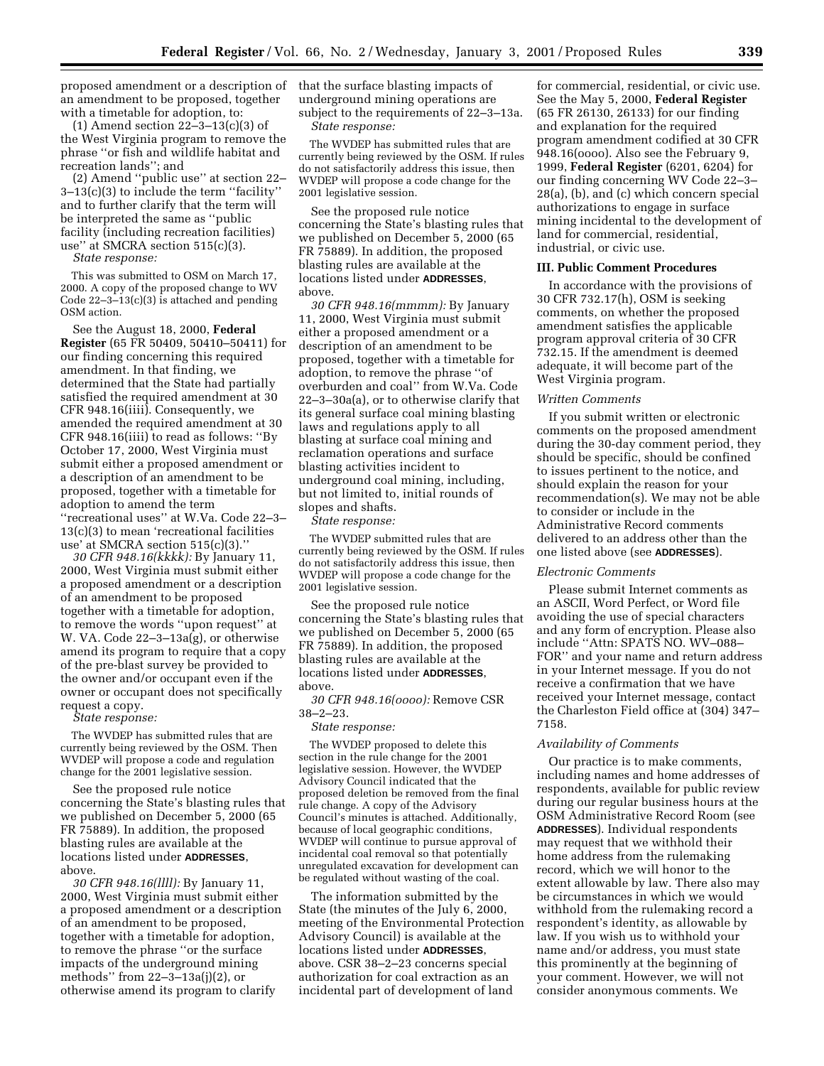proposed amendment or a description of that the surface blasting impacts of an amendment to be proposed, together with a timetable for adoption, to:

(1) Amend section 22–3–13(c)(3) of the West Virginia program to remove the phrase ''or fish and wildlife habitat and recreation lands''; and

(2) Amend ''public use'' at section 22– 3–13(c)(3) to include the term ''facility'' and to further clarify that the term will be interpreted the same as ''public facility (including recreation facilities) use'' at SMCRA section 515(c)(3).

*State response:*

This was submitted to OSM on March 17, 2000. A copy of the proposed change to WV Code 22–3–13(c)(3) is attached and pending OSM action.

See the August 18, 2000, **Federal Register** (65 FR 50409, 50410–50411) for our finding concerning this required amendment. In that finding, we determined that the State had partially satisfied the required amendment at 30 CFR 948.16(iiii). Consequently, we amended the required amendment at 30 CFR 948.16(iiii) to read as follows: ''By October 17, 2000, West Virginia must submit either a proposed amendment or a description of an amendment to be proposed, together with a timetable for adoption to amend the term ''recreational uses'' at W.Va. Code 22–3– 13(c)(3) to mean 'recreational facilities use' at SMCRA section 515(c)(3).''

*30 CFR 948.16(kkkk):* By January 11, 2000, West Virginia must submit either a proposed amendment or a description of an amendment to be proposed together with a timetable for adoption, to remove the words ''upon request'' at W. VA. Code 22–3–13a(g), or otherwise amend its program to require that a copy of the pre-blast survey be provided to the owner and/or occupant even if the owner or occupant does not specifically request a copy.

*State response:*

The WVDEP has submitted rules that are currently being reviewed by the OSM. Then WVDEP will propose a code and regulation change for the 2001 legislative session.

See the proposed rule notice concerning the State's blasting rules that we published on December 5, 2000 (65 FR 75889). In addition, the proposed blasting rules are available at the locations listed under **ADDRESSES**, above.

*30 CFR 948.16(llll):* By January 11, 2000, West Virginia must submit either a proposed amendment or a description of an amendment to be proposed, together with a timetable for adoption, to remove the phrase ''or the surface impacts of the underground mining methods'' from 22–3–13a(j)(2), or otherwise amend its program to clarify

underground mining operations are subject to the requirements of 22–3–13a. *State response:*

The WVDEP has submitted rules that are currently being reviewed by the OSM. If rules do not satisfactorily address this issue, then WVDEP will propose a code change for the 2001 legislative session.

See the proposed rule notice concerning the State's blasting rules that we published on December 5, 2000 (65 FR 75889). In addition, the proposed blasting rules are available at the locations listed under **ADDRESSES**, above.

*30 CFR 948.16(mmmm):* By January 11, 2000, West Virginia must submit either a proposed amendment or a description of an amendment to be proposed, together with a timetable for adoption, to remove the phrase ''of overburden and coal'' from W.Va. Code 22–3–30a(a), or to otherwise clarify that its general surface coal mining blasting laws and regulations apply to all blasting at surface coal mining and reclamation operations and surface blasting activities incident to underground coal mining, including, but not limited to, initial rounds of slopes and shafts.

*State response:*

The WVDEP submitted rules that are currently being reviewed by the OSM. If rules do not satisfactorily address this issue, then WVDEP will propose a code change for the 2001 legislative session.

See the proposed rule notice concerning the State's blasting rules that we published on December 5, 2000 (65 FR 75889). In addition, the proposed blasting rules are available at the locations listed under **ADDRESSES**, above.

*30 CFR 948.16(oooo):* Remove CSR 38–2–23.

### *State response:*

The WVDEP proposed to delete this section in the rule change for the 2001 legislative session. However, the WVDEP Advisory Council indicated that the proposed deletion be removed from the final rule change. A copy of the Advisory Council's minutes is attached. Additionally, because of local geographic conditions, WVDEP will continue to pursue approval of incidental coal removal so that potentially unregulated excavation for development can be regulated without wasting of the coal.

The information submitted by the State (the minutes of the July 6, 2000, meeting of the Environmental Protection Advisory Council) is available at the locations listed under **ADDRESSES**, above. CSR 38–2–23 concerns special authorization for coal extraction as an incidental part of development of land

for commercial, residential, or civic use. See the May 5, 2000, **Federal Register** (65 FR 26130, 26133) for our finding and explanation for the required program amendment codified at 30 CFR 948.16(oooo). Also see the February 9, 1999, **Federal Register** (6201, 6204) for our finding concerning WV Code 22–3– 28(a), (b), and (c) which concern special authorizations to engage in surface mining incidental to the development of land for commercial, residential, industrial, or civic use.

# **III. Public Comment Procedures**

In accordance with the provisions of 30 CFR 732.17(h), OSM is seeking comments, on whether the proposed amendment satisfies the applicable program approval criteria of 30 CFR 732.15. If the amendment is deemed adequate, it will become part of the West Virginia program.

#### *Written Comments*

If you submit written or electronic comments on the proposed amendment during the 30-day comment period, they should be specific, should be confined to issues pertinent to the notice, and should explain the reason for your recommendation(s). We may not be able to consider or include in the Administrative Record comments delivered to an address other than the one listed above (see **ADDRESSES**).

## *Electronic Comments*

Please submit Internet comments as an ASCII, Word Perfect, or Word file avoiding the use of special characters and any form of encryption. Please also include ''Attn: SPATS NO. WV–088– FOR'' and your name and return address in your Internet message. If you do not receive a confirmation that we have received your Internet message, contact the Charleston Field office at (304) 347– 7158.

### *Availability of Comments*

Our practice is to make comments, including names and home addresses of respondents, available for public review during our regular business hours at the OSM Administrative Record Room (see **ADDRESSES**). Individual respondents may request that we withhold their home address from the rulemaking record, which we will honor to the extent allowable by law. There also may be circumstances in which we would withhold from the rulemaking record a respondent's identity, as allowable by law. If you wish us to withhold your name and/or address, you must state this prominently at the beginning of your comment. However, we will not consider anonymous comments. We